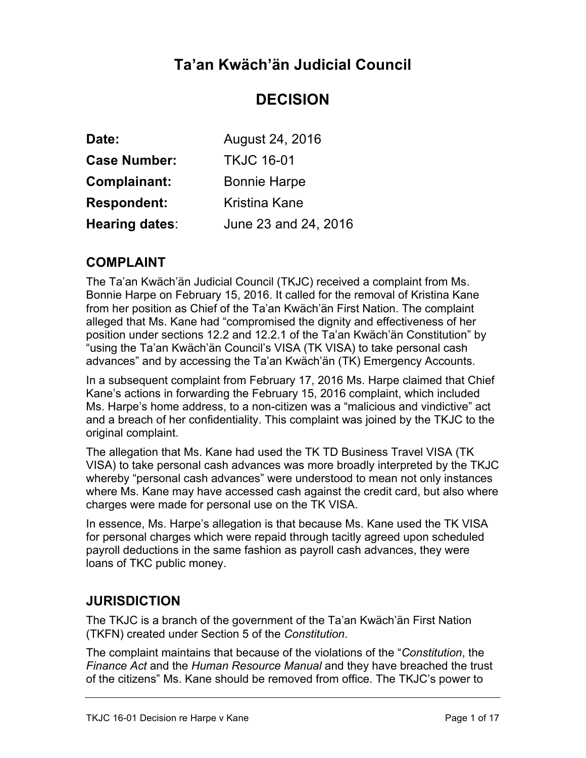# **Ta'an Kwäch'än Judicial Council**

# **DECISION**

| Date:               | August 24, 2016      |
|---------------------|----------------------|
| <b>Case Number:</b> | <b>TKJC 16-01</b>    |
| <b>Complainant:</b> | <b>Bonnie Harpe</b>  |
| <b>Respondent:</b>  | Kristina Kane        |
| Hearing dates:      | June 23 and 24, 2016 |

### **COMPLAINT**

The Ta'an Kwäch'än Judicial Council (TKJC) received a complaint from Ms. Bonnie Harpe on February 15, 2016. It called for the removal of Kristina Kane from her position as Chief of the Ta'an Kwäch'än First Nation. The complaint alleged that Ms. Kane had "compromised the dignity and effectiveness of her position under sections 12.2 and 12.2.1 of the Ta'an Kwäch'än Constitution" by "using the Ta'an Kwäch'än Council's VISA (TK VISA) to take personal cash advances" and by accessing the Ta'an Kwäch'än (TK) Emergency Accounts.

In a subsequent complaint from February 17, 2016 Ms. Harpe claimed that Chief Kane's actions in forwarding the February 15, 2016 complaint, which included Ms. Harpe's home address, to a non-citizen was a "malicious and vindictive" act and a breach of her confidentiality. This complaint was joined by the TKJC to the original complaint.

The allegation that Ms. Kane had used the TK TD Business Travel VISA (TK VISA) to take personal cash advances was more broadly interpreted by the TKJC whereby "personal cash advances" were understood to mean not only instances where Ms. Kane may have accessed cash against the credit card, but also where charges were made for personal use on the TK VISA.

In essence, Ms. Harpe's allegation is that because Ms. Kane used the TK VISA for personal charges which were repaid through tacitly agreed upon scheduled payroll deductions in the same fashion as payroll cash advances, they were loans of TKC public money.

### **JURISDICTION**

The TKJC is a branch of the government of the Ta'an Kwäch'än First Nation (TKFN) created under Section 5 of the *Constitution*.

The complaint maintains that because of the violations of the "*Constitution*, the *Finance Act* and the *Human Resource Manual* and they have breached the trust of the citizens" Ms. Kane should be removed from office. The TKJC's power to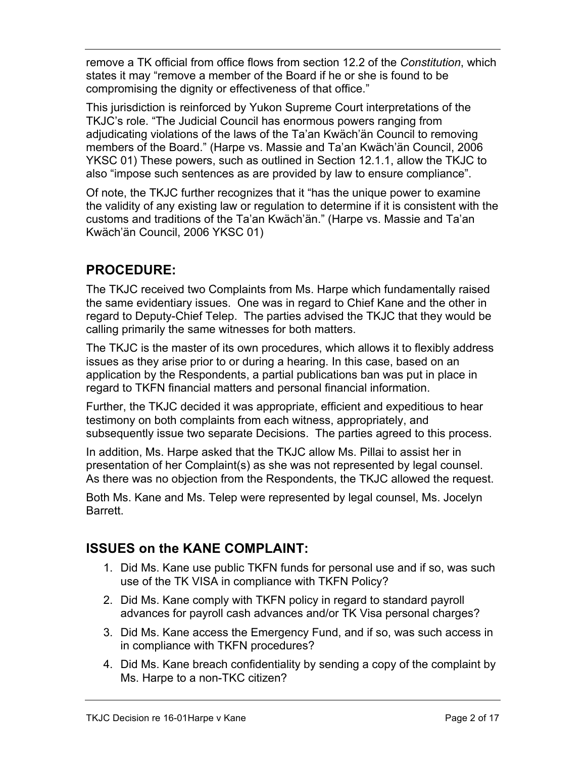remove a TK official from office flows from section 12.2 of the *Constitution*, which states it may "remove a member of the Board if he or she is found to be compromising the dignity or effectiveness of that office."

This jurisdiction is reinforced by Yukon Supreme Court interpretations of the TKJC's role. "The Judicial Council has enormous powers ranging from adjudicating violations of the laws of the Ta'an Kwäch'än Council to removing members of the Board." (Harpe vs. Massie and Ta'an Kwäch'än Council, 2006 YKSC 01) These powers, such as outlined in Section 12.1.1, allow the TKJC to also "impose such sentences as are provided by law to ensure compliance".

Of note, the TKJC further recognizes that it "has the unique power to examine the validity of any existing law or regulation to determine if it is consistent with the customs and traditions of the Ta'an Kwäch'än." (Harpe vs. Massie and Ta'an Kwäch'än Council, 2006 YKSC 01)

## **PROCEDURE:**

The TKJC received two Complaints from Ms. Harpe which fundamentally raised the same evidentiary issues. One was in regard to Chief Kane and the other in regard to Deputy-Chief Telep. The parties advised the TKJC that they would be calling primarily the same witnesses for both matters.

The TKJC is the master of its own procedures, which allows it to flexibly address issues as they arise prior to or during a hearing. In this case, based on an application by the Respondents, a partial publications ban was put in place in regard to TKFN financial matters and personal financial information.

Further, the TKJC decided it was appropriate, efficient and expeditious to hear testimony on both complaints from each witness, appropriately, and subsequently issue two separate Decisions. The parties agreed to this process.

In addition, Ms. Harpe asked that the TKJC allow Ms. Pillai to assist her in presentation of her Complaint(s) as she was not represented by legal counsel. As there was no objection from the Respondents, the TKJC allowed the request.

Both Ms. Kane and Ms. Telep were represented by legal counsel, Ms. Jocelyn Barrett.

### **ISSUES on the KANE COMPLAINT:**

- 1. Did Ms. Kane use public TKFN funds for personal use and if so, was such use of the TK VISA in compliance with TKFN Policy?
- 2. Did Ms. Kane comply with TKFN policy in regard to standard payroll advances for payroll cash advances and/or TK Visa personal charges?
- 3. Did Ms. Kane access the Emergency Fund, and if so, was such access in in compliance with TKFN procedures?
- 4. Did Ms. Kane breach confidentiality by sending a copy of the complaint by Ms. Harpe to a non-TKC citizen?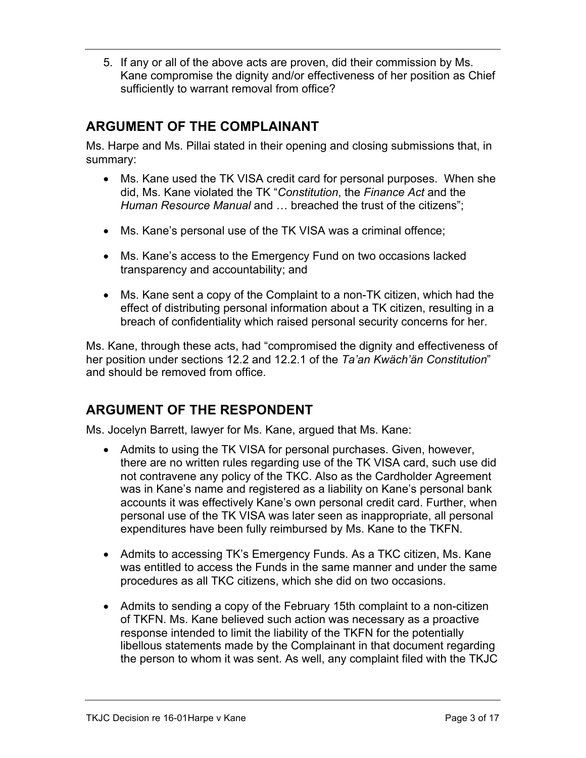5. If any or all of the above acts are proven, did their commission by Ms. Kane compromise the dignity and/or effectiveness of her position as Chief sufficiently to warrant removal from office?

## **ARGUMENT OF THE COMPLAINANT**

Ms. Harpe and Ms. Pillai stated in their opening and closing submissions that, in summary:

- Ms. Kane used the TK VISA credit card for personal purposes. When she did, Ms. Kane violated the TK "*Constitution*, the *Finance Act* and the *Human Resource Manual* and … breached the trust of the citizens";
- Ms. Kane's personal use of the TK VISA was a criminal offence;
- Ms. Kane's access to the Emergency Fund on two occasions lacked transparency and accountability; and
- Ms. Kane sent a copy of the Complaint to a non-TK citizen, which had the effect of distributing personal information about a TK citizen, resulting in a breach of confidentiality which raised personal security concerns for her.

Ms. Kane, through these acts, had "compromised the dignity and effectiveness of her position under sections 12.2 and 12.2.1 of the *Ta'an Kwäch'än Constitution*" and should be removed from office.

### **ARGUMENT OF THE RESPONDENT**

Ms. Jocelyn Barrett, lawyer for Ms. Kane, argued that Ms. Kane:

- Admits to using the TK VISA for personal purchases. Given, however, there are no written rules regarding use of the TK VISA card, such use did not contravene any policy of the TKC. Also as the Cardholder Agreement was in Kane's name and registered as a liability on Kane's personal bank accounts it was effectively Kane's own personal credit card. Further, when personal use of the TK VISA was later seen as inappropriate, all personal expenditures have been fully reimbursed by Ms. Kane to the TKFN.
- Admits to accessing TK's Emergency Funds. As a TKC citizen, Ms. Kane was entitled to access the Funds in the same manner and under the same procedures as all TKC citizens, which she did on two occasions.
- Admits to sending a copy of the February 15th complaint to a non-citizen of TKFN. Ms. Kane believed such action was necessary as a proactive response intended to limit the liability of the TKFN for the potentially libellous statements made by the Complainant in that document regarding the person to whom it was sent. As well, any complaint filed with the TKJC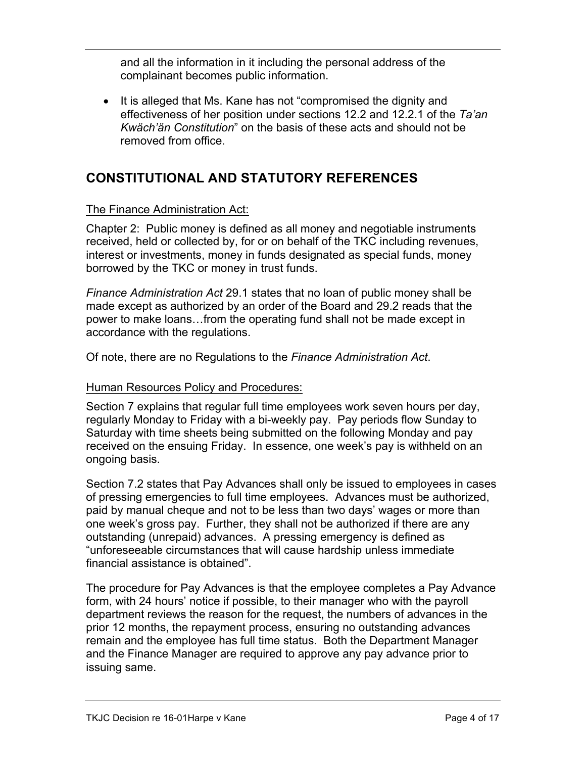and all the information in it including the personal address of the complainant becomes public information.

• It is alleged that Ms. Kane has not "compromised the dignity and effectiveness of her position under sections 12.2 and 12.2.1 of the *Ta'an Kwäch'än Constitution*" on the basis of these acts and should not be removed from office.

### **CONSTITUTIONAL AND STATUTORY REFERENCES**

#### The Finance Administration Act:

Chapter 2: Public money is defined as all money and negotiable instruments received, held or collected by, for or on behalf of the TKC including revenues, interest or investments, money in funds designated as special funds, money borrowed by the TKC or money in trust funds.

*Finance Administration Act* 29.1 states that no loan of public money shall be made except as authorized by an order of the Board and 29.2 reads that the power to make loans…from the operating fund shall not be made except in accordance with the regulations.

Of note, there are no Regulations to the *Finance Administration Act*.

#### Human Resources Policy and Procedures:

Section 7 explains that regular full time employees work seven hours per day, regularly Monday to Friday with a bi-weekly pay. Pay periods flow Sunday to Saturday with time sheets being submitted on the following Monday and pay received on the ensuing Friday. In essence, one week's pay is withheld on an ongoing basis.

Section 7.2 states that Pay Advances shall only be issued to employees in cases of pressing emergencies to full time employees. Advances must be authorized, paid by manual cheque and not to be less than two days' wages or more than one week's gross pay. Further, they shall not be authorized if there are any outstanding (unrepaid) advances. A pressing emergency is defined as "unforeseeable circumstances that will cause hardship unless immediate financial assistance is obtained".

The procedure for Pay Advances is that the employee completes a Pay Advance form, with 24 hours' notice if possible, to their manager who with the payroll department reviews the reason for the request, the numbers of advances in the prior 12 months, the repayment process, ensuring no outstanding advances remain and the employee has full time status. Both the Department Manager and the Finance Manager are required to approve any pay advance prior to issuing same.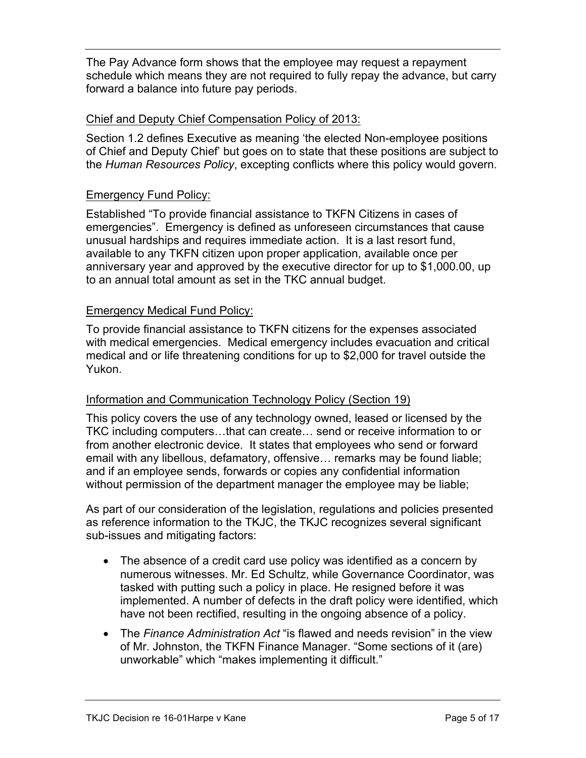The Pay Advance form shows that the employee may request a repayment schedule which means they are not required to fully repay the advance, but carry forward a balance into future pay periods.

#### Chief and Deputy Chief Compensation Policy of 2013:

Section 1.2 defines Executive as meaning 'the elected Non-employee positions of Chief and Deputy Chief' but goes on to state that these positions are subject to the *Human Resources Policy*, excepting conflicts where this policy would govern.

#### Emergency Fund Policy:

Established "To provide financial assistance to TKFN Citizens in cases of emergencies". Emergency is defined as unforeseen circumstances that cause unusual hardships and requires immediate action. It is a last resort fund, available to any TKFN citizen upon proper application, available once per anniversary year and approved by the executive director for up to \$1,000.00, up to an annual total amount as set in the TKC annual budget.

#### Emergency Medical Fund Policy:

To provide financial assistance to TKFN citizens for the expenses associated with medical emergencies. Medical emergency includes evacuation and critical medical and or life threatening conditions for up to \$2,000 for travel outside the Yukon.

#### Information and Communication Technology Policy (Section 19)

This policy covers the use of any technology owned, leased or licensed by the TKC including computers…that can create… send or receive information to or from another electronic device. It states that employees who send or forward email with any libellous, defamatory, offensive… remarks may be found liable; and if an employee sends, forwards or copies any confidential information without permission of the department manager the employee may be liable;

As part of our consideration of the legislation, regulations and policies presented as reference information to the TKJC, the TKJC recognizes several significant sub-issues and mitigating factors:

- The absence of a credit card use policy was identified as a concern by numerous witnesses. Mr. Ed Schultz, while Governance Coordinator, was tasked with putting such a policy in place. He resigned before it was implemented. A number of defects in the draft policy were identified, which have not been rectified, resulting in the ongoing absence of a policy.
- The *Finance Administration Act* "is flawed and needs revision" in the view of Mr. Johnston, the TKFN Finance Manager. "Some sections of it (are) unworkable" which "makes implementing it difficult."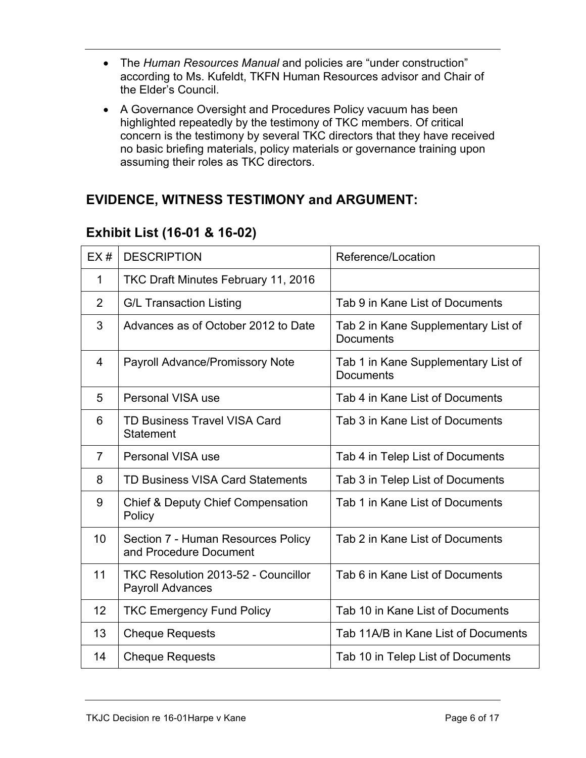- The *Human Resources Manual* and policies are "under construction" according to Ms. Kufeldt, TKFN Human Resources advisor and Chair of the Elder's Council.
- A Governance Oversight and Procedures Policy vacuum has been highlighted repeatedly by the testimony of TKC members. Of critical concern is the testimony by several TKC directors that they have received no basic briefing materials, policy materials or governance training upon assuming their roles as TKC directors.

### **EVIDENCE, WITNESS TESTIMONY and ARGUMENT:**

| EX#            | <b>DESCRIPTION</b>                                                    | Reference/Location                                      |
|----------------|-----------------------------------------------------------------------|---------------------------------------------------------|
| 1              | TKC Draft Minutes February 11, 2016                                   |                                                         |
| $\overline{2}$ | <b>G/L Transaction Listing</b>                                        | Tab 9 in Kane List of Documents                         |
| 3              | Advances as of October 2012 to Date                                   | Tab 2 in Kane Supplementary List of<br><b>Documents</b> |
| 4              | <b>Payroll Advance/Promissory Note</b>                                | Tab 1 in Kane Supplementary List of<br><b>Documents</b> |
| 5              | <b>Personal VISA use</b>                                              | Tab 4 in Kane List of Documents                         |
| 6              | <b>TD Business Travel VISA Card</b><br><b>Statement</b>               | Tab 3 in Kane List of Documents                         |
| $\overline{7}$ | Personal VISA use                                                     | Tab 4 in Telep List of Documents                        |
| 8              | <b>TD Business VISA Card Statements</b>                               | Tab 3 in Telep List of Documents                        |
| 9              | <b>Chief &amp; Deputy Chief Compensation</b><br>Policy                | Tab 1 in Kane List of Documents                         |
| 10             | Section 7 - Human Resources Policy<br>and Procedure Document          | Tab 2 in Kane List of Documents                         |
| 11             | <b>TKC Resolution 2013-52 - Councillor</b><br><b>Payroll Advances</b> | Tab 6 in Kane List of Documents                         |
| 12             | <b>TKC Emergency Fund Policy</b>                                      | Tab 10 in Kane List of Documents                        |
| 13             | <b>Cheque Requests</b>                                                | Tab 11A/B in Kane List of Documents                     |
| 14             | <b>Cheque Requests</b>                                                | Tab 10 in Telep List of Documents                       |

### **Exhibit List (16-01 & 16-02)**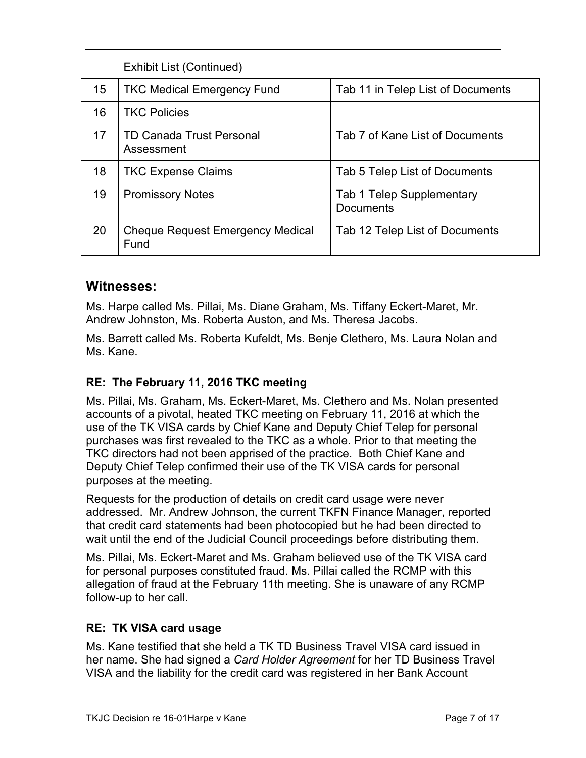|    | <b>Exhibit List (Continued)</b>                 |                                                      |
|----|-------------------------------------------------|------------------------------------------------------|
| 15 | <b>TKC Medical Emergency Fund</b>               | Tab 11 in Telep List of Documents                    |
| 16 | <b>TKC Policies</b>                             |                                                      |
| 17 | <b>TD Canada Trust Personal</b><br>Assessment   | Tab 7 of Kane List of Documents                      |
| 18 | <b>TKC Expense Claims</b>                       | Tab 5 Telep List of Documents                        |
| 19 | <b>Promissory Notes</b>                         | <b>Tab 1 Telep Supplementary</b><br><b>Documents</b> |
| 20 | <b>Cheque Request Emergency Medical</b><br>Fund | Tab 12 Telep List of Documents                       |

#### **Witnesses:**

Ms. Harpe called Ms. Pillai, Ms. Diane Graham, Ms. Tiffany Eckert-Maret, Mr. Andrew Johnston, Ms. Roberta Auston, and Ms. Theresa Jacobs.

Ms. Barrett called Ms. Roberta Kufeldt, Ms. Benje Clethero, Ms. Laura Nolan and Ms. Kane.

#### **RE: The February 11, 2016 TKC meeting**

Ms. Pillai, Ms. Graham, Ms. Eckert-Maret, Ms. Clethero and Ms. Nolan presented accounts of a pivotal, heated TKC meeting on February 11, 2016 at which the use of the TK VISA cards by Chief Kane and Deputy Chief Telep for personal purchases was first revealed to the TKC as a whole. Prior to that meeting the TKC directors had not been apprised of the practice. Both Chief Kane and Deputy Chief Telep confirmed their use of the TK VISA cards for personal purposes at the meeting.

Requests for the production of details on credit card usage were never addressed. Mr. Andrew Johnson, the current TKFN Finance Manager, reported that credit card statements had been photocopied but he had been directed to wait until the end of the Judicial Council proceedings before distributing them.

Ms. Pillai, Ms. Eckert-Maret and Ms. Graham believed use of the TK VISA card for personal purposes constituted fraud. Ms. Pillai called the RCMP with this allegation of fraud at the February 11th meeting. She is unaware of any RCMP follow-up to her call.

#### **RE: TK VISA card usage**

Ms. Kane testified that she held a TK TD Business Travel VISA card issued in her name. She had signed a *Card Holder Agreement* for her TD Business Travel VISA and the liability for the credit card was registered in her Bank Account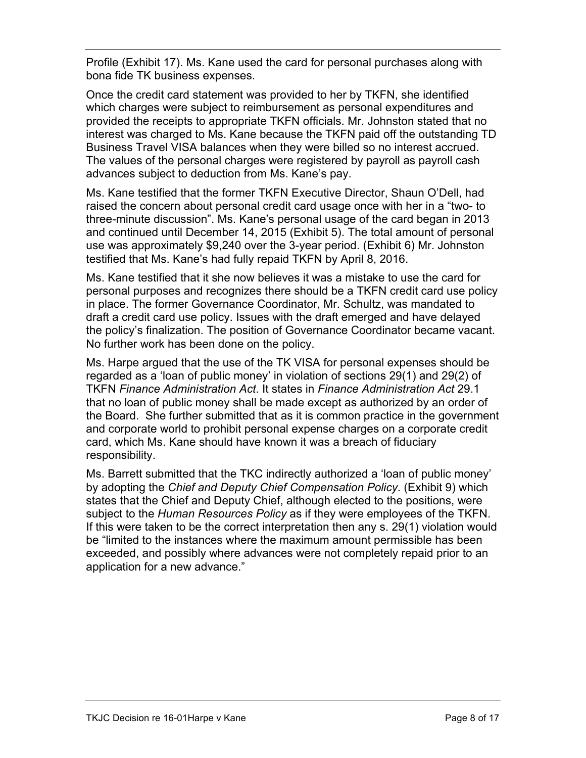Profile (Exhibit 17). Ms. Kane used the card for personal purchases along with bona fide TK business expenses.

Once the credit card statement was provided to her by TKFN, she identified which charges were subject to reimbursement as personal expenditures and provided the receipts to appropriate TKFN officials. Mr. Johnston stated that no interest was charged to Ms. Kane because the TKFN paid off the outstanding TD Business Travel VISA balances when they were billed so no interest accrued. The values of the personal charges were registered by payroll as payroll cash advances subject to deduction from Ms. Kane's pay.

Ms. Kane testified that the former TKFN Executive Director, Shaun O'Dell, had raised the concern about personal credit card usage once with her in a "two- to three-minute discussion". Ms. Kane's personal usage of the card began in 2013 and continued until December 14, 2015 (Exhibit 5). The total amount of personal use was approximately \$9,240 over the 3-year period. (Exhibit 6) Mr. Johnston testified that Ms. Kane's had fully repaid TKFN by April 8, 2016.

Ms. Kane testified that it she now believes it was a mistake to use the card for personal purposes and recognizes there should be a TKFN credit card use policy in place. The former Governance Coordinator, Mr. Schultz, was mandated to draft a credit card use policy. Issues with the draft emerged and have delayed the policy's finalization. The position of Governance Coordinator became vacant. No further work has been done on the policy.

Ms. Harpe argued that the use of the TK VISA for personal expenses should be regarded as a 'loan of public money' in violation of sections 29(1) and 29(2) of TKFN *Finance Administration Act*. It states in *Finance Administration Act* 29.1 that no loan of public money shall be made except as authorized by an order of the Board. She further submitted that as it is common practice in the government and corporate world to prohibit personal expense charges on a corporate credit card, which Ms. Kane should have known it was a breach of fiduciary responsibility.

Ms. Barrett submitted that the TKC indirectly authorized a 'loan of public money' by adopting the *Chief and Deputy Chief Compensation Policy*. (Exhibit 9) which states that the Chief and Deputy Chief, although elected to the positions, were subject to the *Human Resources Policy* as if they were employees of the TKFN. If this were taken to be the correct interpretation then any s. 29(1) violation would be "limited to the instances where the maximum amount permissible has been exceeded, and possibly where advances were not completely repaid prior to an application for a new advance."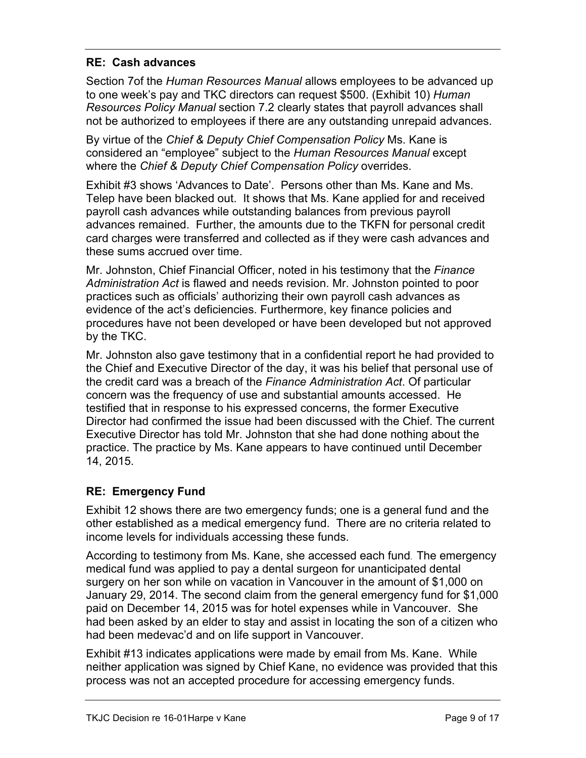#### **RE: Cash advances**

Section 7of the *Human Resources Manual* allows employees to be advanced up to one week's pay and TKC directors can request \$500. (Exhibit 10) *Human Resources Policy Manual* section 7.2 clearly states that payroll advances shall not be authorized to employees if there are any outstanding unrepaid advances.

By virtue of the *Chief & Deputy Chief Compensation Policy* Ms. Kane is considered an "employee" subject to the *Human Resources Manual* except where the *Chief & Deputy Chief Compensation Policy* overrides.

Exhibit #3 shows 'Advances to Date'. Persons other than Ms. Kane and Ms. Telep have been blacked out. It shows that Ms. Kane applied for and received payroll cash advances while outstanding balances from previous payroll advances remained. Further, the amounts due to the TKFN for personal credit card charges were transferred and collected as if they were cash advances and these sums accrued over time.

Mr. Johnston, Chief Financial Officer, noted in his testimony that the *Finance Administration Act* is flawed and needs revision. Mr. Johnston pointed to poor practices such as officials' authorizing their own payroll cash advances as evidence of the act's deficiencies. Furthermore, key finance policies and procedures have not been developed or have been developed but not approved by the TKC.

Mr. Johnston also gave testimony that in a confidential report he had provided to the Chief and Executive Director of the day, it was his belief that personal use of the credit card was a breach of the *Finance Administration Act*. Of particular concern was the frequency of use and substantial amounts accessed. He testified that in response to his expressed concerns, the former Executive Director had confirmed the issue had been discussed with the Chief. The current Executive Director has told Mr. Johnston that she had done nothing about the practice. The practice by Ms. Kane appears to have continued until December 14, 2015.

#### **RE: Emergency Fund**

Exhibit 12 shows there are two emergency funds; one is a general fund and the other established as a medical emergency fund. There are no criteria related to income levels for individuals accessing these funds.

According to testimony from Ms. Kane, she accessed each fund. The emergency medical fund was applied to pay a dental surgeon for unanticipated dental surgery on her son while on vacation in Vancouver in the amount of \$1,000 on January 29, 2014. The second claim from the general emergency fund for \$1,000 paid on December 14, 2015 was for hotel expenses while in Vancouver. She had been asked by an elder to stay and assist in locating the son of a citizen who had been medevac'd and on life support in Vancouver.

Exhibit #13 indicates applications were made by email from Ms. Kane. While neither application was signed by Chief Kane, no evidence was provided that this process was not an accepted procedure for accessing emergency funds.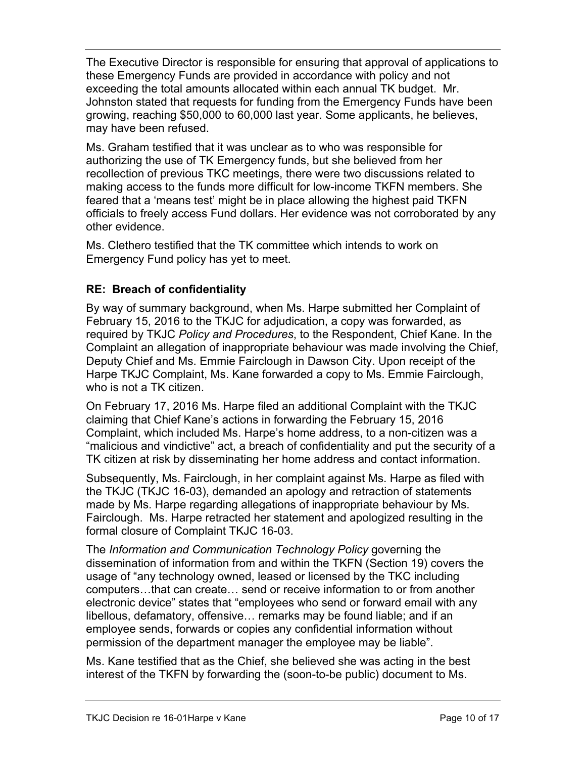The Executive Director is responsible for ensuring that approval of applications to these Emergency Funds are provided in accordance with policy and not exceeding the total amounts allocated within each annual TK budget. Mr. Johnston stated that requests for funding from the Emergency Funds have been growing, reaching \$50,000 to 60,000 last year. Some applicants, he believes, may have been refused.

Ms. Graham testified that it was unclear as to who was responsible for authorizing the use of TK Emergency funds, but she believed from her recollection of previous TKC meetings, there were two discussions related to making access to the funds more difficult for low-income TKFN members. She feared that a 'means test' might be in place allowing the highest paid TKFN officials to freely access Fund dollars. Her evidence was not corroborated by any other evidence.

Ms. Clethero testified that the TK committee which intends to work on Emergency Fund policy has yet to meet.

#### **RE: Breach of confidentiality**

By way of summary background, when Ms. Harpe submitted her Complaint of February 15, 2016 to the TKJC for adjudication, a copy was forwarded, as required by TKJC *Policy and Procedures*, to the Respondent, Chief Kane. In the Complaint an allegation of inappropriate behaviour was made involving the Chief, Deputy Chief and Ms. Emmie Fairclough in Dawson City. Upon receipt of the Harpe TKJC Complaint, Ms. Kane forwarded a copy to Ms. Emmie Fairclough, who is not a TK citizen.

On February 17, 2016 Ms. Harpe filed an additional Complaint with the TKJC claiming that Chief Kane's actions in forwarding the February 15, 2016 Complaint, which included Ms. Harpe's home address, to a non-citizen was a "malicious and vindictive" act, a breach of confidentiality and put the security of a TK citizen at risk by disseminating her home address and contact information.

Subsequently, Ms. Fairclough, in her complaint against Ms. Harpe as filed with the TKJC (TKJC 16-03), demanded an apology and retraction of statements made by Ms. Harpe regarding allegations of inappropriate behaviour by Ms. Fairclough. Ms. Harpe retracted her statement and apologized resulting in the formal closure of Complaint TKJC 16-03.

The *Information and Communication Technology Policy* governing the dissemination of information from and within the TKFN (Section 19) covers the usage of "any technology owned, leased or licensed by the TKC including computers…that can create… send or receive information to or from another electronic device" states that "employees who send or forward email with any libellous, defamatory, offensive… remarks may be found liable; and if an employee sends, forwards or copies any confidential information without permission of the department manager the employee may be liable".

Ms. Kane testified that as the Chief, she believed she was acting in the best interest of the TKFN by forwarding the (soon-to-be public) document to Ms.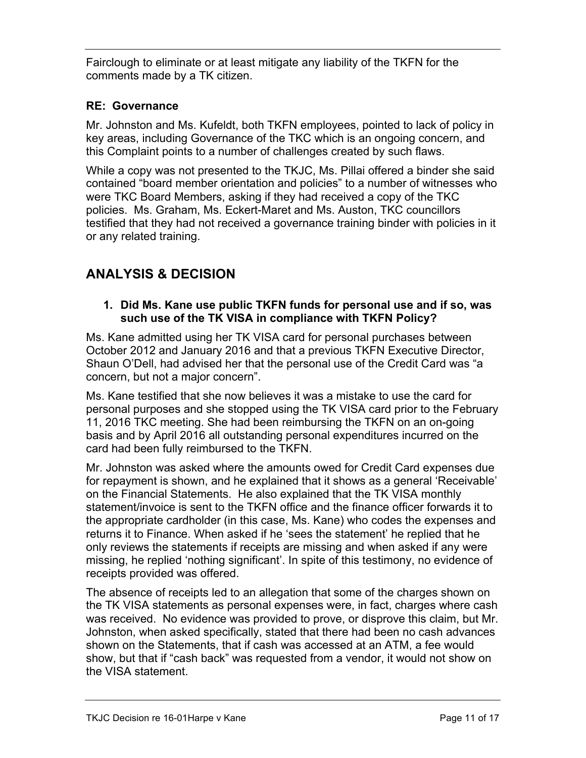Fairclough to eliminate or at least mitigate any liability of the TKFN for the comments made by a TK citizen.

#### **RE: Governance**

Mr. Johnston and Ms. Kufeldt, both TKFN employees, pointed to lack of policy in key areas, including Governance of the TKC which is an ongoing concern, and this Complaint points to a number of challenges created by such flaws.

While a copy was not presented to the TKJC, Ms. Pillai offered a binder she said contained "board member orientation and policies" to a number of witnesses who were TKC Board Members, asking if they had received a copy of the TKC policies. Ms. Graham, Ms. Eckert-Maret and Ms. Auston, TKC councillors testified that they had not received a governance training binder with policies in it or any related training.

## **ANALYSIS & DECISION**

#### **1. Did Ms. Kane use public TKFN funds for personal use and if so, was such use of the TK VISA in compliance with TKFN Policy?**

Ms. Kane admitted using her TK VISA card for personal purchases between October 2012 and January 2016 and that a previous TKFN Executive Director, Shaun O'Dell, had advised her that the personal use of the Credit Card was "a concern, but not a major concern".

Ms. Kane testified that she now believes it was a mistake to use the card for personal purposes and she stopped using the TK VISA card prior to the February 11, 2016 TKC meeting. She had been reimbursing the TKFN on an on-going basis and by April 2016 all outstanding personal expenditures incurred on the card had been fully reimbursed to the TKFN.

Mr. Johnston was asked where the amounts owed for Credit Card expenses due for repayment is shown, and he explained that it shows as a general 'Receivable' on the Financial Statements. He also explained that the TK VISA monthly statement/invoice is sent to the TKFN office and the finance officer forwards it to the appropriate cardholder (in this case, Ms. Kane) who codes the expenses and returns it to Finance. When asked if he 'sees the statement' he replied that he only reviews the statements if receipts are missing and when asked if any were missing, he replied 'nothing significant'. In spite of this testimony, no evidence of receipts provided was offered.

The absence of receipts led to an allegation that some of the charges shown on the TK VISA statements as personal expenses were, in fact, charges where cash was received. No evidence was provided to prove, or disprove this claim, but Mr. Johnston, when asked specifically, stated that there had been no cash advances shown on the Statements, that if cash was accessed at an ATM, a fee would show, but that if "cash back" was requested from a vendor, it would not show on the VISA statement.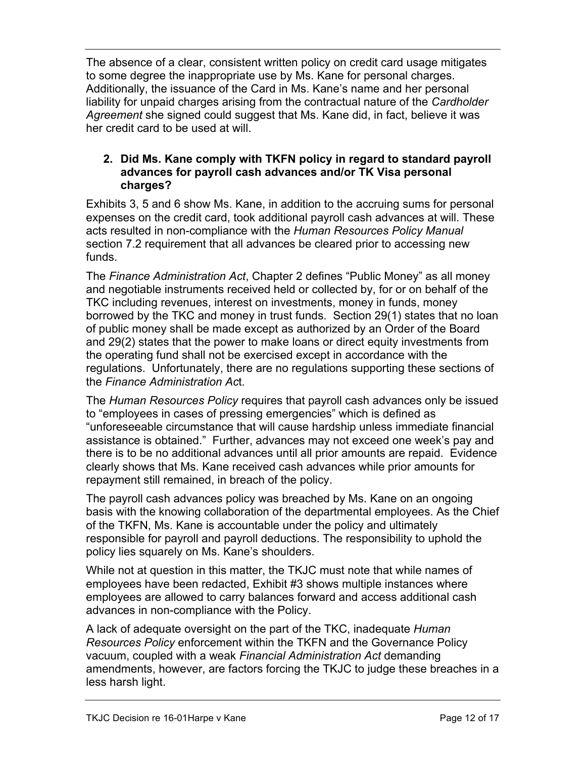The absence of a clear, consistent written policy on credit card usage mitigates to some degree the inappropriate use by Ms. Kane for personal charges. Additionally, the issuance of the Card in Ms. Kane's name and her personal liability for unpaid charges arising from the contractual nature of the *Cardholder Agreement* she signed could suggest that Ms. Kane did, in fact, believe it was her credit card to be used at will.

#### **2. Did Ms. Kane comply with TKFN policy in regard to standard payroll advances for payroll cash advances and/or TK Visa personal charges?**

Exhibits 3, 5 and 6 show Ms. Kane, in addition to the accruing sums for personal expenses on the credit card, took additional payroll cash advances at will. These acts resulted in non-compliance with the *Human Resources Policy Manual* section 7.2 requirement that all advances be cleared prior to accessing new funds.

The *Finance Administration Act*, Chapter 2 defines "Public Money" as all money and negotiable instruments received held or collected by, for or on behalf of the TKC including revenues, interest on investments, money in funds, money borrowed by the TKC and money in trust funds. Section 29(1) states that no loan of public money shall be made except as authorized by an Order of the Board and 29(2) states that the power to make loans or direct equity investments from the operating fund shall not be exercised except in accordance with the regulations. Unfortunately, there are no regulations supporting these sections of the *Finance Administration Ac*t.

The *Human Resources Policy* requires that payroll cash advances only be issued to "employees in cases of pressing emergencies" which is defined as "unforeseeable circumstance that will cause hardship unless immediate financial assistance is obtained." Further, advances may not exceed one week's pay and there is to be no additional advances until all prior amounts are repaid. Evidence clearly shows that Ms. Kane received cash advances while prior amounts for repayment still remained, in breach of the policy.

The payroll cash advances policy was breached by Ms. Kane on an ongoing basis with the knowing collaboration of the departmental employees. As the Chief of the TKFN, Ms. Kane is accountable under the policy and ultimately responsible for payroll and payroll deductions. The responsibility to uphold the policy lies squarely on Ms. Kane's shoulders.

While not at question in this matter, the TKJC must note that while names of employees have been redacted, Exhibit #3 shows multiple instances where employees are allowed to carry balances forward and access additional cash advances in non-compliance with the Policy.

A lack of adequate oversight on the part of the TKC, inadequate *Human Resources Policy* enforcement within the TKFN and the Governance Policy vacuum, coupled with a weak *Financial Administration Act* demanding amendments, however, are factors forcing the TKJC to judge these breaches in a less harsh light.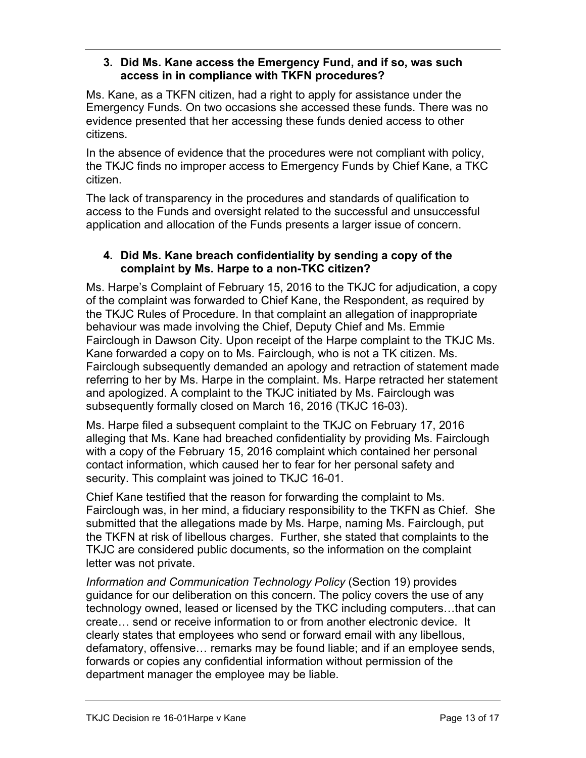#### **3. Did Ms. Kane access the Emergency Fund, and if so, was such access in in compliance with TKFN procedures?**

Ms. Kane, as a TKFN citizen, had a right to apply for assistance under the Emergency Funds. On two occasions she accessed these funds. There was no evidence presented that her accessing these funds denied access to other citizens.

In the absence of evidence that the procedures were not compliant with policy, the TKJC finds no improper access to Emergency Funds by Chief Kane, a TKC citizen.

The lack of transparency in the procedures and standards of qualification to access to the Funds and oversight related to the successful and unsuccessful application and allocation of the Funds presents a larger issue of concern.

#### **4. Did Ms. Kane breach confidentiality by sending a copy of the complaint by Ms. Harpe to a non-TKC citizen?**

Ms. Harpe's Complaint of February 15, 2016 to the TKJC for adjudication, a copy of the complaint was forwarded to Chief Kane, the Respondent, as required by the TKJC Rules of Procedure. In that complaint an allegation of inappropriate behaviour was made involving the Chief, Deputy Chief and Ms. Emmie Fairclough in Dawson City. Upon receipt of the Harpe complaint to the TKJC Ms. Kane forwarded a copy on to Ms. Fairclough, who is not a TK citizen. Ms. Fairclough subsequently demanded an apology and retraction of statement made referring to her by Ms. Harpe in the complaint. Ms. Harpe retracted her statement and apologized. A complaint to the TKJC initiated by Ms. Fairclough was subsequently formally closed on March 16, 2016 (TKJC 16-03).

Ms. Harpe filed a subsequent complaint to the TKJC on February 17, 2016 alleging that Ms. Kane had breached confidentiality by providing Ms. Fairclough with a copy of the February 15, 2016 complaint which contained her personal contact information, which caused her to fear for her personal safety and security. This complaint was joined to TKJC 16-01.

Chief Kane testified that the reason for forwarding the complaint to Ms. Fairclough was, in her mind, a fiduciary responsibility to the TKFN as Chief. She submitted that the allegations made by Ms. Harpe, naming Ms. Fairclough, put the TKFN at risk of libellous charges. Further, she stated that complaints to the TKJC are considered public documents, so the information on the complaint letter was not private.

*Information and Communication Technology Policy* (Section 19) provides guidance for our deliberation on this concern. The policy covers the use of any technology owned, leased or licensed by the TKC including computers…that can create… send or receive information to or from another electronic device. It clearly states that employees who send or forward email with any libellous, defamatory, offensive… remarks may be found liable; and if an employee sends, forwards or copies any confidential information without permission of the department manager the employee may be liable.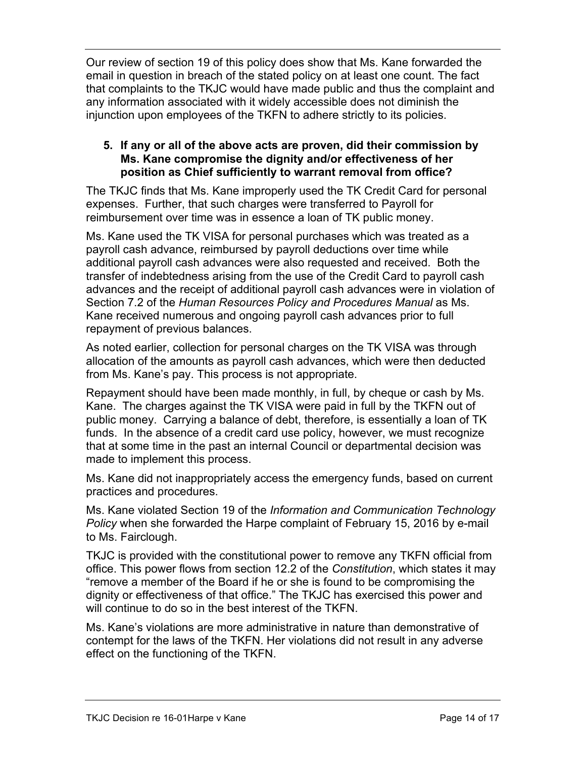Our review of section 19 of this policy does show that Ms. Kane forwarded the email in question in breach of the stated policy on at least one count. The fact that complaints to the TKJC would have made public and thus the complaint and any information associated with it widely accessible does not diminish the injunction upon employees of the TKFN to adhere strictly to its policies.

#### **5. If any or all of the above acts are proven, did their commission by Ms. Kane compromise the dignity and/or effectiveness of her position as Chief sufficiently to warrant removal from office?**

The TKJC finds that Ms. Kane improperly used the TK Credit Card for personal expenses. Further, that such charges were transferred to Payroll for reimbursement over time was in essence a loan of TK public money.

Ms. Kane used the TK VISA for personal purchases which was treated as a payroll cash advance, reimbursed by payroll deductions over time while additional payroll cash advances were also requested and received. Both the transfer of indebtedness arising from the use of the Credit Card to payroll cash advances and the receipt of additional payroll cash advances were in violation of Section 7.2 of the *Human Resources Policy and Procedures Manual* as Ms. Kane received numerous and ongoing payroll cash advances prior to full repayment of previous balances.

As noted earlier, collection for personal charges on the TK VISA was through allocation of the amounts as payroll cash advances, which were then deducted from Ms. Kane's pay. This process is not appropriate.

Repayment should have been made monthly, in full, by cheque or cash by Ms. Kane. The charges against the TK VISA were paid in full by the TKFN out of public money. Carrying a balance of debt, therefore, is essentially a loan of TK funds. In the absence of a credit card use policy, however, we must recognize that at some time in the past an internal Council or departmental decision was made to implement this process.

Ms. Kane did not inappropriately access the emergency funds, based on current practices and procedures.

Ms. Kane violated Section 19 of the *Information and Communication Technology Policy* when she forwarded the Harpe complaint of February 15, 2016 by e-mail to Ms. Fairclough.

TKJC is provided with the constitutional power to remove any TKFN official from office. This power flows from section 12.2 of the *Constitution*, which states it may "remove a member of the Board if he or she is found to be compromising the dignity or effectiveness of that office." The TKJC has exercised this power and will continue to do so in the best interest of the TKFN.

Ms. Kane's violations are more administrative in nature than demonstrative of contempt for the laws of the TKFN. Her violations did not result in any adverse effect on the functioning of the TKFN.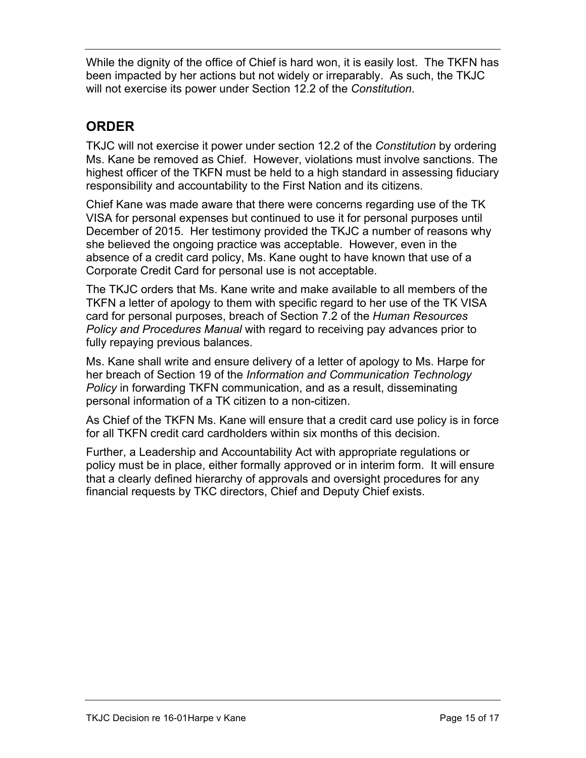While the dignity of the office of Chief is hard won, it is easily lost. The TKFN has been impacted by her actions but not widely or irreparably. As such, the TKJC will not exercise its power under Section 12.2 of the *Constitution*.

## **ORDER**

TKJC will not exercise it power under section 12.2 of the *Constitution* by ordering Ms. Kane be removed as Chief. However, violations must involve sanctions. The highest officer of the TKFN must be held to a high standard in assessing fiduciary responsibility and accountability to the First Nation and its citizens.

Chief Kane was made aware that there were concerns regarding use of the TK VISA for personal expenses but continued to use it for personal purposes until December of 2015. Her testimony provided the TKJC a number of reasons why she believed the ongoing practice was acceptable. However, even in the absence of a credit card policy, Ms. Kane ought to have known that use of a Corporate Credit Card for personal use is not acceptable.

The TKJC orders that Ms. Kane write and make available to all members of the TKFN a letter of apology to them with specific regard to her use of the TK VISA card for personal purposes, breach of Section 7.2 of the *Human Resources Policy and Procedures Manual* with regard to receiving pay advances prior to fully repaying previous balances.

Ms. Kane shall write and ensure delivery of a letter of apology to Ms. Harpe for her breach of Section 19 of the *Information and Communication Technology Policy* in forwarding TKFN communication, and as a result, disseminating personal information of a TK citizen to a non-citizen.

As Chief of the TKFN Ms. Kane will ensure that a credit card use policy is in force for all TKFN credit card cardholders within six months of this decision.

Further, a Leadership and Accountability Act with appropriate regulations or policy must be in place, either formally approved or in interim form. It will ensure that a clearly defined hierarchy of approvals and oversight procedures for any financial requests by TKC directors, Chief and Deputy Chief exists.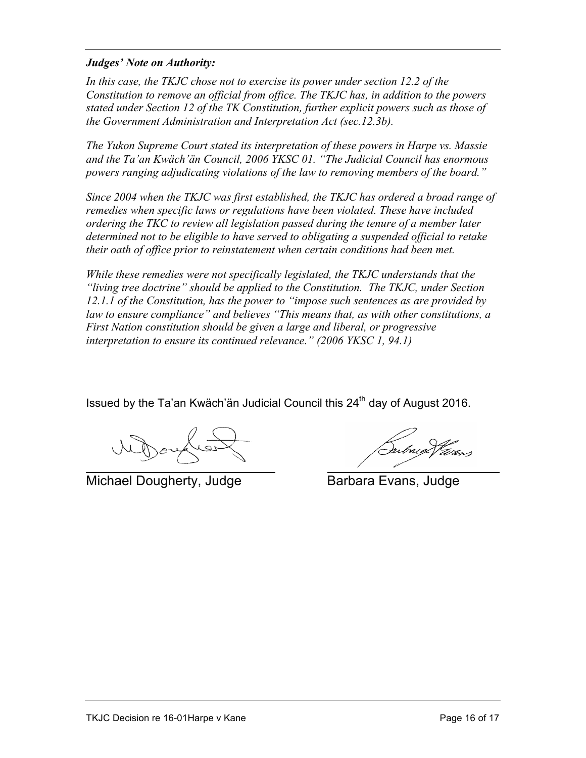#### *Judges' Note on Authority:*

*In this case, the TKJC chose not to exercise its power under section 12.2 of the Constitution to remove an official from office. The TKJC has, in addition to the powers stated under Section 12 of the TK Constitution, further explicit powers such as those of the Government Administration and Interpretation Act (sec.12.3b).* 

*The Yukon Supreme Court stated its interpretation of these powers in Harpe vs. Massie and the Ta'an Kwäch'än Council, 2006 YKSC 01. "The Judicial Council has enormous powers ranging adjudicating violations of the law to removing members of the board."*

*Since 2004 when the TKJC was first established, the TKJC has ordered a broad range of remedies when specific laws or regulations have been violated. These have included ordering the TKC to review all legislation passed during the tenure of a member later determined not to be eligible to have served to obligating a suspended official to retake their oath of office prior to reinstatement when certain conditions had been met.* 

*While these remedies were not specifically legislated, the TKJC understands that the "living tree doctrine" should be applied to the Constitution. The TKJC, under Section 12.1.1 of the Constitution, has the power to "impose such sentences as are provided by law to ensure compliance" and believes "This means that, as with other constitutions, a First Nation constitution should be given a large and liberal, or progressive interpretation to ensure its continued relevance." (2006 YKSC 1, 94.1)* 

Issued by the Ta'an Kwäch'än Judicial Council this 24<sup>th</sup> day of August 2016.

Michael Dougherty, Judge Barbara Evans, Judge

(Salved Vieros